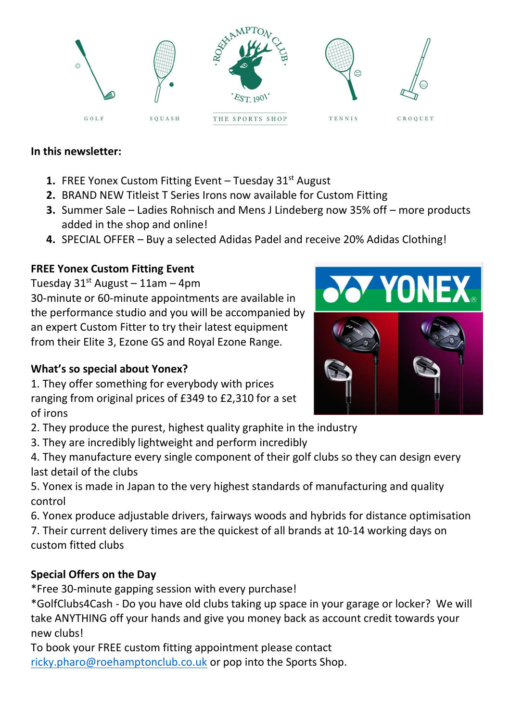

#### **In this newsletter:**

- **1.** FREE Yonex Custom Fitting Event Tuesday 31<sup>st</sup> August
- **2.** BRAND NEW Titleist T Series Irons now available for Custom Fitting
- **3.** Summer Sale Ladies Rohnisch and Mens J Lindeberg now 35% off more products added in the shop and online!
- **4.** SPECIAL OFFER Buy a selected Adidas Padel and receive 20% Adidas Clothing!

#### **FREE Yonex Custom Fitting Event**

Tuesday  $31^{st}$  August – 11am – 4pm

30-minute or 60-minute appointments are available in the performance studio and you will be accompanied by an expert Custom Fitter to try their latest equipment from their Elite 3, Ezone GS and Royal Ezone Range.

#### **What's so special about Yonex?**

1. They offer something for everybody with prices ranging from original prices of £349 to £2,310 for a set of irons

2. They produce the purest, highest quality graphite in the industry

3. They are incredibly lightweight and perform incredibly

4. They manufacture every single component of their golf clubs so they can design every last detail of the clubs

5. Yonex is made in Japan to the very highest standards of manufacturing and quality control

6. Yonex produce adjustable drivers, fairways woods and hybrids for distance optimisation 7. Their current delivery times are the quickest of all brands at 10-14 working days on custom fitted clubs

# **Special Offers on the Day**

\*Free 30-minute gapping session with every purchase!

\*GolfClubs4Cash - Do you have old clubs taking up space in your garage or locker? We will take ANYTHING off your hands and give you money back as account credit towards your new clubs!

To book your FREE custom fitting appointment please contact [ricky.pharo@roehamptonclub.co.uk](mailto:ricky.pharo@roehamptonclub.co.uk) or pop into the Sports Shop.

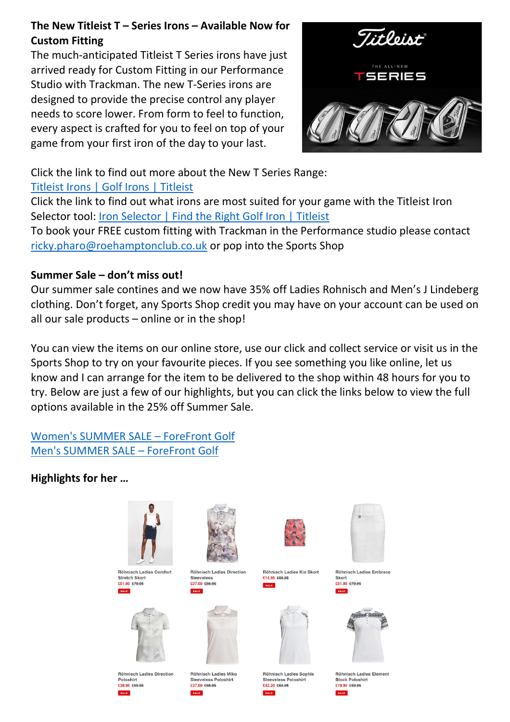#### **The New Titleist T – Series Irons – Available Now for Custom Fitting**

The much-anticipated Titleist T Series irons have just arrived ready for Custom Fitting in our Performance Studio with Trackman. The new T-Series irons are designed to provide the precise control any player needs to score lower. From form to feel to function, every aspect is crafted for you to feel on top of your game from your first iron of the day to your last.



Click the link to find out more about the New T Series Range:

# [Titleist Irons | Golf Irons | Titleist](https://www.titleist.co.uk/golf-clubs/golf-irons?sc_src=email_1464053&sc_lid=119954333&sc_uid=iQ3muVKfvP&sc_llid=59445&sc_customer=1632607&utm_source=Emarsys&utm_medium=email&utm_campaign=MKT-Clubs-TSeriesLaunch-08082021)

Click the link to find out what irons are most suited for your game with the Titleist Iron Selector tool: [Iron Selector | Find the Right Golf Iron | Titleist](https://www.titleist.co.uk/golf-clubs/irons-selector)

To book your FREE custom fitting with Trackman in the Performance studio please contact [ricky.pharo@roehamptonclub.co.uk](mailto:ricky.pharo@roehamptonclub.co.uk) or pop into the Sports Shop

# **Summer Sale – don't miss out!**

Our summer sale contines and we now have 35% off Ladies Rohnisch and Men's J Lindeberg clothing. Don't forget, any Sports Shop credit you may have on your account can be used on all our sale products – online or in the shop!

You can view the items on our online store, use our click and collect service or visit us in the Sports Shop to try on your favourite pieces. If you see something you like online, let us know and I can arrange for the item to be delivered to the shop within 48 hours for you to try. Below are just a few of our highlights, but you can click the links below to view the full options available in the 25% off Summer Sale.

[Women's SUMMER SALE](https://forefrontgolf.co.uk/collections/womens-summer-sale) – ForeFront Golf [Men's SUMMER SALE](https://forefrontgolf.co.uk/collections/mens-summer-sale) – ForeFront Golf

# **Highlights for her …**



**Röhnisch Ladies Comfort Stretch Skort** £51.95 £79.95



**Röhnisch Ladies Direction** Poloshirt £38.95 £59.95

Röhnisch Ladies Miko **Sleeveless Poloshirt** £37.00 £56.95

Röhnisch Ladies Direction

Sleeveless

£37.00 £56.95



Röhnisch Ladies Kia Skort £14.95 £69.95 **SALE** 



Röhnisch Ladies Sophie

**Sleeveless Poloshirt** 

£42.20 £64.95



Röhnisch Ladies Embrace Skort £51.95 £79.95



**Röhnisch Ladies Element Block Poloshirt** £19.95 £59.95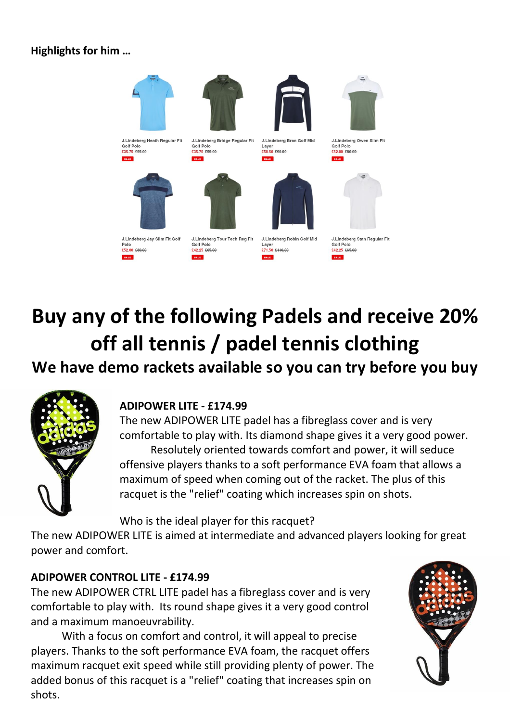#### **Highlights for him …**



J.Lindeberg Jay Slim Fit Gol £52.00 £80.00

J.Lindeberg Tour Tech Reg Fit **Golf Polo** £42.25 £65.00



J.Lindeberg Owen Slim Fit



J.Lindeberg Stan Regular Fit **Golf Polo** £42.25 £65.00

# **Buy any of the following Padels and receive 20% off all tennis / padel tennis clothing**

# **We have demo rackets available so you can try before you buy**



#### **ADIPOWER LITE - £174.99**

The new ADIPOWER LITE padel has a fibreglass cover and is very comfortable to play with. Its diamond shape gives it a very good power. Resolutely oriented towards comfort and power, it will seduce offensive players thanks to a soft performance EVA foam that allows a maximum of speed when coming out of the racket. The plus of this racquet is the "relief" coating which increases spin on shots.

Who is the ideal player for this racquet?

The new ADIPOWER LITE is aimed at intermediate and advanced players looking for great power and comfort.

#### **ADIPOWER CONTROL LITE - £174.99**

The new ADIPOWER CTRL LITE padel has a fibreglass cover and is very comfortable to play with. Its round shape gives it a very good control and a maximum manoeuvrability.

With a focus on comfort and control, it will appeal to precise players. Thanks to the soft performance EVA foam, the racquet offers maximum racquet exit speed while still providing plenty of power. The added bonus of this racquet is a "relief" coating that increases spin on shots.